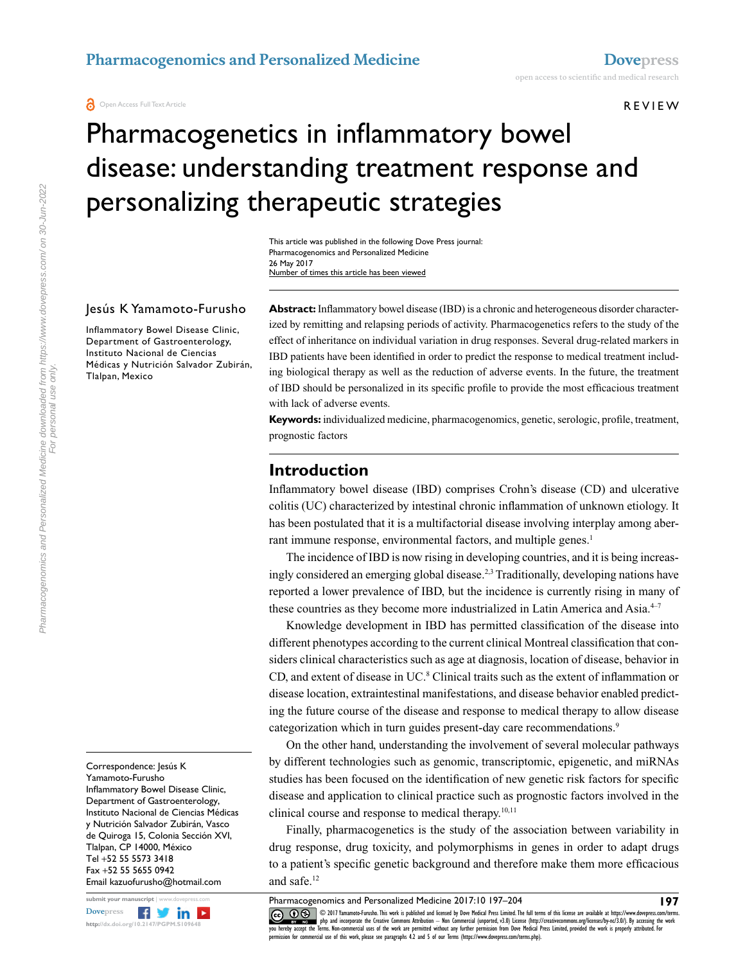**a** Open Access Full Text Article

#### REVIEW

# Pharmacogenetics in inflammatory bowel disease: understanding treatment response and personalizing therapeutic strategies

This article was published in the following Dove Press journal: Pharmacogenomics and Personalized Medicine 26 May 2017 Number of times this article has been viewed

#### Jesús K Yamamoto-Furusho

Inflammatory Bowel Disease Clinic, Department of Gastroenterology, Instituto Nacional de Ciencias Médicas y Nutrición Salvador Zubirán, Tlalpan, Mexico

**Abstract:** Inflammatory bowel disease (IBD) is a chronic and heterogeneous disorder characterized by remitting and relapsing periods of activity. Pharmacogenetics refers to the study of the effect of inheritance on individual variation in drug responses. Several drug-related markers in IBD patients have been identified in order to predict the response to medical treatment including biological therapy as well as the reduction of adverse events. In the future, the treatment of IBD should be personalized in its specific profile to provide the most efficacious treatment with lack of adverse events.

**Keywords:** individualized medicine, pharmacogenomics, genetic, serologic, profile, treatment, prognostic factors

## **Introduction**

Inflammatory bowel disease (IBD) comprises Crohn's disease (CD) and ulcerative colitis (UC) characterized by intestinal chronic inflammation of unknown etiology. It has been postulated that it is a multifactorial disease involving interplay among aberrant immune response, environmental factors, and multiple genes.<sup>1</sup>

The incidence of IBD is now rising in developing countries, and it is being increasingly considered an emerging global disease.2,3 Traditionally, developing nations have reported a lower prevalence of IBD, but the incidence is currently rising in many of these countries as they become more industrialized in Latin America and Asia.<sup>4-7</sup>

Knowledge development in IBD has permitted classification of the disease into different phenotypes according to the current clinical Montreal classification that considers clinical characteristics such as age at diagnosis, location of disease, behavior in CD, and extent of disease in UC.<sup>8</sup> Clinical traits such as the extent of inflammation or disease location, extraintestinal manifestations, and disease behavior enabled predicting the future course of the disease and response to medical therapy to allow disease categorization which in turn guides present-day care recommendations.<sup>9</sup>

On the other hand, understanding the involvement of several molecular pathways by different technologies such as genomic, transcriptomic, epigenetic, and miRNAs studies has been focused on the identification of new genetic risk factors for specific disease and application to clinical practice such as prognostic factors involved in the clinical course and response to medical therapy.<sup>10,11</sup>

Finally, pharmacogenetics is the study of the association between variability in drug response, drug toxicity, and polymorphisms in genes in order to adapt drugs to a patient's specific genetic background and therefore make them more efficacious and safe.12

Pharmacogenomics and Personalized Medicine 2017:10 197–204

**197**

Correspondence: Jesús K Yamamoto-Furusho Inflammatory Bowel Disease Clinic, Department of Gastroenterology, Instituto Nacional de Ciencias Médicas y Nutrición Salvador Zubirán, Vasco de Quiroga 15, Colonia Sección XVI, Tlalpan, CP 14000, México Tel +52 55 5573 3418 Fax +52 55 5655 0942 Email [kazuofurusho@hotmail.com](mailto:kazuofurusho@hotmail.com)



CO ODIT Yamamoto-Furusho. This work is published and licensed by Dove Medical Press Limited. The full terms of this license are available at https://www.dovepress.com/terms.<br>You hereby accept the Terms Alon commetrial uses permission for commercial use of this work, please see paragraphs 4.2 and 5 of our Terms (https://www.dovepress.com/terms.php).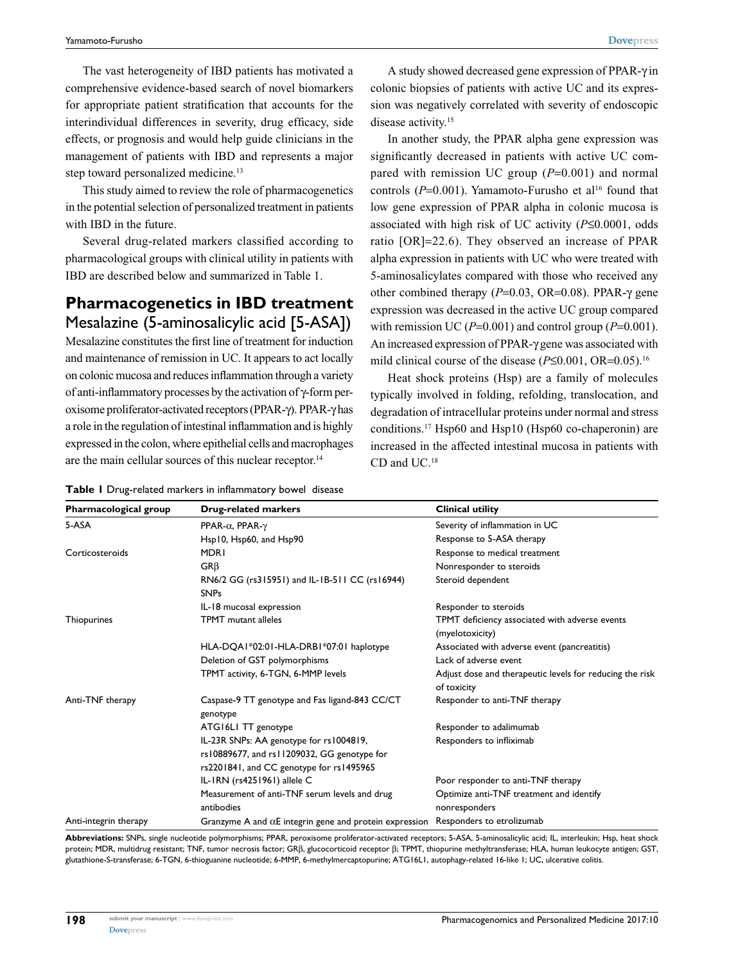The vast heterogeneity of IBD patients has motivated a comprehensive evidence-based search of novel biomarkers for appropriate patient stratification that accounts for the interindividual differences in severity, drug efficacy, side effects, or prognosis and would help guide clinicians in the management of patients with IBD and represents a major step toward personalized medicine.<sup>13</sup>

This study aimed to review the role of pharmacogenetics in the potential selection of personalized treatment in patients with IBD in the future.

Several drug-related markers classified according to pharmacological groups with clinical utility in patients with IBD are described below and summarized in Table 1.

## **Pharmacogenetics in IBD treatment** Mesalazine (5-aminosalicylic acid [5-ASA])

Mesalazine constitutes the first line of treatment for induction and maintenance of remission in UC. It appears to act locally on colonic mucosa and reduces inflammation through a variety of anti-inflammatory processes by the activation of γ-form peroxisome proliferator-activated receptors (PPAR-γ). PPAR-γ has a role in the regulation of intestinal inflammation and is highly expressed in the colon, where epithelial cells and macrophages are the main cellular sources of this nuclear receptor.<sup>14</sup>

A study showed decreased gene expression of PPAR-γ in colonic biopsies of patients with active UC and its expression was negatively correlated with severity of endoscopic disease activity.<sup>15</sup>

In another study, the PPAR alpha gene expression was significantly decreased in patients with active UC compared with remission UC group (*P*=0.001) and normal controls  $(P=0.001)$ . Yamamoto-Furusho et al<sup>16</sup> found that low gene expression of PPAR alpha in colonic mucosa is associated with high risk of UC activity (*P*≤0.0001, odds ratio [OR]=22.6). They observed an increase of PPAR alpha expression in patients with UC who were treated with 5-aminosalicylates compared with those who received any other combined therapy (*P*=0.03, OR=0.08). PPAR-γ gene expression was decreased in the active UC group compared with remission UC (*P*=0.001) and control group (*P*=0.001). An increased expression of PPAR-γ gene was associated with mild clinical course of the disease (*P*≤0.001, OR=0.05).16

Heat shock proteins (Hsp) are a family of molecules typically involved in folding, refolding, translocation, and degradation of intracellular proteins under normal and stress conditions.17 Hsp60 and Hsp10 (Hsp60 co-chaperonin) are increased in the affected intestinal mucosa in patients with CD and UC.18

| Pharmacological group | <b>Drug-related markers</b>                                                                                                        | <b>Clinical utility</b>                                                 |
|-----------------------|------------------------------------------------------------------------------------------------------------------------------------|-------------------------------------------------------------------------|
| 5-ASA                 | PPAR- $\alpha$ , PPAR- $\gamma$                                                                                                    | Severity of inflammation in UC                                          |
|                       | Hsp10, Hsp60, and Hsp90                                                                                                            | Response to 5-ASA therapy                                               |
| Corticosteroids       | <b>MDRI</b>                                                                                                                        | Response to medical treatment                                           |
|                       | $GR\beta$                                                                                                                          | Nonresponder to steroids                                                |
|                       | RN6/2 GG (rs315951) and IL-1B-511 CC (rs16944)<br><b>SNPs</b>                                                                      | Steroid dependent                                                       |
|                       | IL-18 mucosal expression                                                                                                           | Responder to steroids                                                   |
| Thiopurines           | <b>TPMT</b> mutant alleles                                                                                                         | TPMT deficiency associated with adverse events<br>(myelotoxicity)       |
|                       | HLA-DQA1*02:01-HLA-DRB1*07:01 haplotype                                                                                            | Associated with adverse event (pancreatitis)                            |
|                       | Deletion of GST polymorphisms                                                                                                      | Lack of adverse event                                                   |
|                       | TPMT activity, 6-TGN, 6-MMP levels                                                                                                 | Adjust dose and therapeutic levels for reducing the risk<br>of toxicity |
| Anti-TNF therapy      | Caspase-9 TT genotype and Fas ligand-843 CC/CT<br>genotype                                                                         | Responder to anti-TNF therapy                                           |
|                       | ATG16LI TT genotype                                                                                                                | Responder to adalimumab                                                 |
|                       | IL-23R SNPs: AA genotype for rs1004819,<br>rs10889677, and rs11209032, GG genotype for<br>rs2201841, and CC genotype for rs1495965 | Responders to infliximab                                                |
|                       | IL-IRN (rs4251961) allele C                                                                                                        | Poor responder to anti-TNF therapy                                      |
|                       | Measurement of anti-TNF serum levels and drug<br>antibodies                                                                        | Optimize anti-TNF treatment and identify<br>nonresponders               |
| Anti-integrin therapy | Granzyme A and $\alpha$ E integrin gene and protein expression                                                                     | Responders to etrolizumab                                               |

**Table 1** Drug-related markers in inflammatory bowel disease

**Abbreviations:** SNPs, single nucleotide polymorphisms; PPAR, peroxisome proliferator-activated receptors; 5-ASA, 5-aminosalicylic acid; IL, interleukin; Hsp, heat shock protein; MDR, multidrug resistant; TNF, tumor necrosis factor; GRβ, glucocorticoid receptor β; TPMT, thiopurine methyltransferase; HLA, human leukocyte antigen; GST, glutathione-S-transferase; 6-TGN, 6-thioguanine nucleotide; 6-MMP, 6-methylmercaptopurine; ATG16L1, autophagy-related 16-like 1; UC, ulcerative colitis.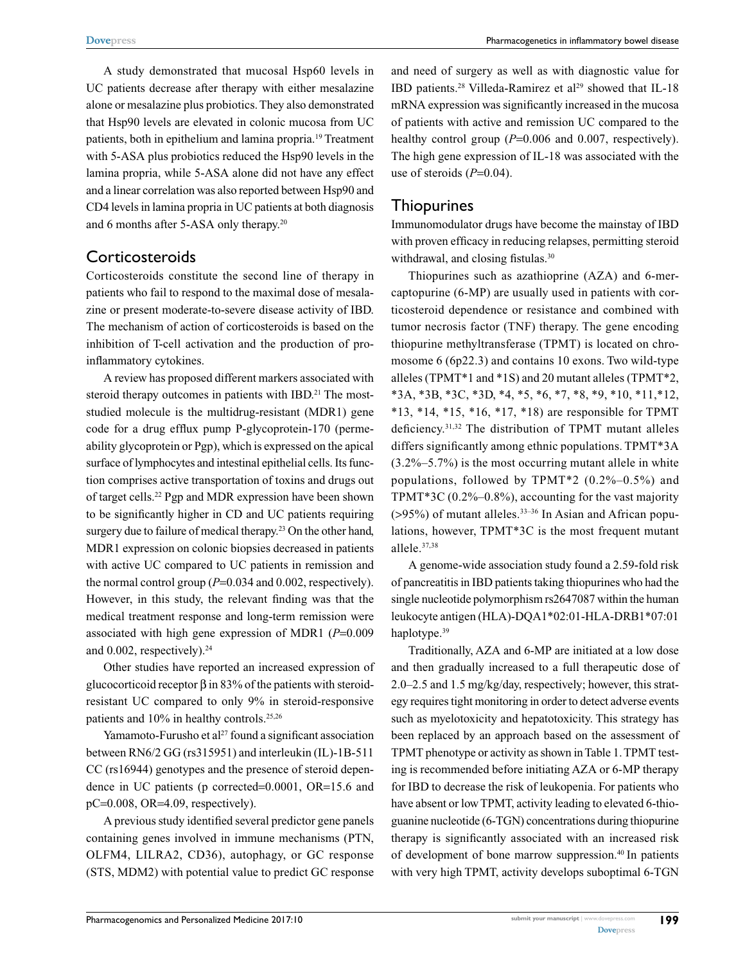A study demonstrated that mucosal Hsp60 levels in UC patients decrease after therapy with either mesalazine alone or mesalazine plus probiotics. They also demonstrated that Hsp90 levels are elevated in colonic mucosa from UC patients, both in epithelium and lamina propria.19 Treatment with 5-ASA plus probiotics reduced the Hsp90 levels in the lamina propria, while 5-ASA alone did not have any effect and a linear correlation was also reported between Hsp90 and CD4 levels in lamina propria in UC patients at both diagnosis and 6 months after 5-ASA only therapy.20

## **Corticosteroids**

Corticosteroids constitute the second line of therapy in patients who fail to respond to the maximal dose of mesalazine or present moderate-to-severe disease activity of IBD. The mechanism of action of corticosteroids is based on the inhibition of T-cell activation and the production of proinflammatory cytokines.

A review has proposed different markers associated with steroid therapy outcomes in patients with IBD.<sup>21</sup> The moststudied molecule is the multidrug-resistant (MDR1) gene code for a drug efflux pump P-glycoprotein-170 (permeability glycoprotein or Pgp), which is expressed on the apical surface of lymphocytes and intestinal epithelial cells. Its function comprises active transportation of toxins and drugs out of target cells.22 Pgp and MDR expression have been shown to be significantly higher in CD and UC patients requiring surgery due to failure of medical therapy.<sup>23</sup> On the other hand, MDR1 expression on colonic biopsies decreased in patients with active UC compared to UC patients in remission and the normal control group (*P*=0.034 and 0.002, respectively). However, in this study, the relevant finding was that the medical treatment response and long-term remission were associated with high gene expression of MDR1 (*P*=0.009 and  $0.002$ , respectively).<sup>24</sup>

Other studies have reported an increased expression of glucocorticoid receptor β in 83% of the patients with steroidresistant UC compared to only 9% in steroid-responsive patients and 10% in healthy controls.<sup>25,26</sup>

Yamamoto-Furusho et al<sup>27</sup> found a significant association between RN6/2 GG (rs315951) and interleukin (IL)-1B-511 CC (rs16944) genotypes and the presence of steroid dependence in UC patients (p corrected=0.0001, OR=15.6 and pC=0.008, OR=4.09, respectively).

A previous study identified several predictor gene panels containing genes involved in immune mechanisms (PTN, OLFM4, LILRA2, CD36), autophagy, or GC response (STS, MDM2) with potential value to predict GC response and need of surgery as well as with diagnostic value for IBD patients.<sup>28</sup> Villeda-Ramirez et al<sup>29</sup> showed that IL-18 mRNA expression was significantly increased in the mucosa of patients with active and remission UC compared to the healthy control group ( $P=0.006$  and 0.007, respectively). The high gene expression of IL-18 was associated with the use of steroids (*P*=0.04).

#### Thiopurines

Immunomodulator drugs have become the mainstay of IBD with proven efficacy in reducing relapses, permitting steroid withdrawal, and closing fistulas.<sup>30</sup>

Thiopurines such as azathioprine (AZA) and 6-mercaptopurine (6-MP) are usually used in patients with corticosteroid dependence or resistance and combined with tumor necrosis factor (TNF) therapy. The gene encoding thiopurine methyltransferase (TPMT) is located on chromosome 6 (6p22.3) and contains 10 exons. Two wild-type alleles (TPMT\*1 and \*1S) and 20 mutant alleles (TPMT\*2, \*3A, \*3B, \*3C, \*3D, \*4, \*5, \*6, \*7, \*8, \*9, \*10, \*11,\*12, \*13, \*14, \*15, \*16, \*17, \*18) are responsible for TPMT deficiency.31,32 The distribution of TPMT mutant alleles differs significantly among ethnic populations. TPMT\*3A (3.2%–5.7%) is the most occurring mutant allele in white populations, followed by TPMT\*2 (0.2%–0.5%) and TPMT\*3C (0.2%–0.8%), accounting for the vast majority  $($ >95%) of mutant alleles.<sup>33-36</sup> In Asian and African populations, however, TPMT\*3C is the most frequent mutant allele.37,38

A genome-wide association study found a 2.59-fold risk of pancreatitis in IBD patients taking thiopurines who had the single nucleotide polymorphism rs2647087 within the human leukocyte antigen (HLA)-DQA1\*02:01-HLA-DRB1\*07:01 haplotype.<sup>39</sup>

Traditionally, AZA and 6-MP are initiated at a low dose and then gradually increased to a full therapeutic dose of 2.0–2.5 and 1.5 mg/kg/day, respectively; however, this strategy requires tight monitoring in order to detect adverse events such as myelotoxicity and hepatotoxicity. This strategy has been replaced by an approach based on the assessment of TPMT phenotype or activity as shown in Table 1. TPMT testing is recommended before initiating AZA or 6-MP therapy for IBD to decrease the risk of leukopenia. For patients who have absent or low TPMT, activity leading to elevated 6-thioguanine nucleotide (6-TGN) concentrations during thiopurine therapy is significantly associated with an increased risk of development of bone marrow suppression.40 In patients with very high TPMT, activity develops suboptimal 6-TGN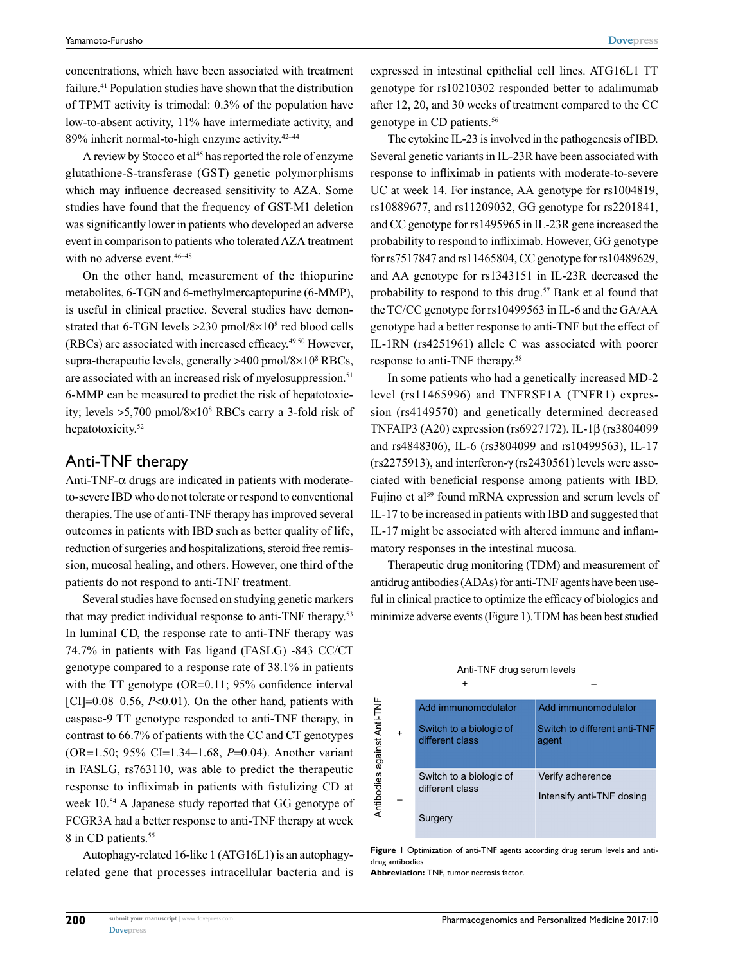concentrations, which have been associated with treatment failure.<sup>41</sup> Population studies have shown that the distribution of TPMT activity is trimodal: 0.3% of the population have low-to-absent activity, 11% have intermediate activity, and 89% inherit normal-to-high enzyme activity.42–44

A review by Stocco et al<sup>45</sup> has reported the role of enzyme glutathione-S-transferase (GST) genetic polymorphisms which may influence decreased sensitivity to AZA. Some studies have found that the frequency of GST-M1 deletion was significantly lower in patients who developed an adverse event in comparison to patients who tolerated AZA treatment with no adverse event.<sup>46-48</sup>

On the other hand, measurement of the thiopurine metabolites, 6-TGN and 6-methylmercaptopurine (6-MMP), is useful in clinical practice. Several studies have demonstrated that 6-TGN levels > 230 pmol/8×10<sup>8</sup> red blood cells (RBCs) are associated with increased efficacy.49,50 However, supra-therapeutic levels, generally >400 pmol/8×10<sup>8</sup> RBCs, are associated with an increased risk of myelosuppression.<sup>51</sup> 6-MMP can be measured to predict the risk of hepatotoxicity; levels >5,700 pmol/8×108 RBCs carry a 3-fold risk of hepatotoxicity.<sup>52</sup>

#### Anti-TNF therapy

Anti-TNF- $\alpha$  drugs are indicated in patients with moderateto-severe IBD who do not tolerate or respond to conventional therapies. The use of anti-TNF therapy has improved several outcomes in patients with IBD such as better quality of life, reduction of surgeries and hospitalizations, steroid free remission, mucosal healing, and others. However, one third of the patients do not respond to anti-TNF treatment.

Several studies have focused on studying genetic markers that may predict individual response to anti-TNF therapy.53 In luminal CD, the response rate to anti-TNF therapy was 74.7% in patients with Fas ligand (FASLG) -843 CC/CT genotype compared to a response rate of 38.1% in patients with the TT genotype (OR=0.11; 95% confidence interval [CI]=0.08–0.56, *P*<0.01). On the other hand, patients with caspase-9 TT genotype responded to anti-TNF therapy, in contrast to 66.7% of patients with the CC and CT genotypes (OR=1.50; 95% CI=1.34–1.68, *P*=0.04). Another variant in FASLG, rs763110, was able to predict the therapeutic response to infliximab in patients with fistulizing CD at week 10.54 A Japanese study reported that GG genotype of FCGR3A had a better response to anti-TNF therapy at week 8 in CD patients.<sup>55</sup>

Autophagy-related 16-like 1 (ATG16L1) is an autophagyrelated gene that processes intracellular bacteria and is expressed in intestinal epithelial cell lines. ATG16L1 TT genotype for rs10210302 responded better to adalimumab after 12, 20, and 30 weeks of treatment compared to the CC genotype in CD patients.56

The cytokine IL-23 is involved in the pathogenesis of IBD. Several genetic variants in IL-23R have been associated with response to infliximab in patients with moderate-to-severe UC at week 14. For instance, AA genotype for rs1004819, rs10889677, and rs11209032, GG genotype for rs2201841, and CC genotype for rs1495965 in IL-23R gene increased the probability to respond to infliximab. However, GG genotype for rs7517847 and rs11465804, CC genotype for rs10489629, and AA genotype for rs1343151 in IL-23R decreased the probability to respond to this drug.<sup>57</sup> Bank et al found that the TC/CC genotype for rs10499563 in IL-6 and the GA/AA genotype had a better response to anti-TNF but the effect of IL-1RN (rs4251961) allele C was associated with poorer response to anti-TNF therapy.58

In some patients who had a genetically increased MD-2 level (rs11465996) and TNFRSF1A (TNFR1) expression (rs4149570) and genetically determined decreased TNFAIP3 (A20) expression (rs6927172), IL-1β (rs3804099 and rs4848306), IL-6 (rs3804099 and rs10499563), IL-17 (rs2275913), and interferon-γ (rs2430561) levels were associated with beneficial response among patients with IBD. Fujino et al<sup>59</sup> found mRNA expression and serum levels of IL-17 to be increased in patients with IBD and suggested that IL-17 might be associated with altered immune and inflammatory responses in the intestinal mucosa.

Therapeutic drug monitoring (TDM) and measurement of antidrug antibodies (ADAs) for anti-TNF agents have been useful in clinical practice to optimize the efficacy of biologics and minimize adverse events (Figure 1). TDM has been best studied

| Add immunomodulator                        | Add immunomodulator                           |
|--------------------------------------------|-----------------------------------------------|
| Switch to a biologic of<br>different class | Switch to different anti-TNF<br>agent         |
| Switch to a biologic of<br>different class | Verify adherence<br>Intensify anti-TNF dosing |
| Surgery                                    |                                               |

#### Anti-TNF drug serum levels

–

+

**Figure 1** Optimization of anti-TNF agents according drug serum levels and antidrug antibodies

**Abbreviation:** TNF, tumor necrosis factor.

Antibodies against Anti-TNF

Antibodies against Anti-TNF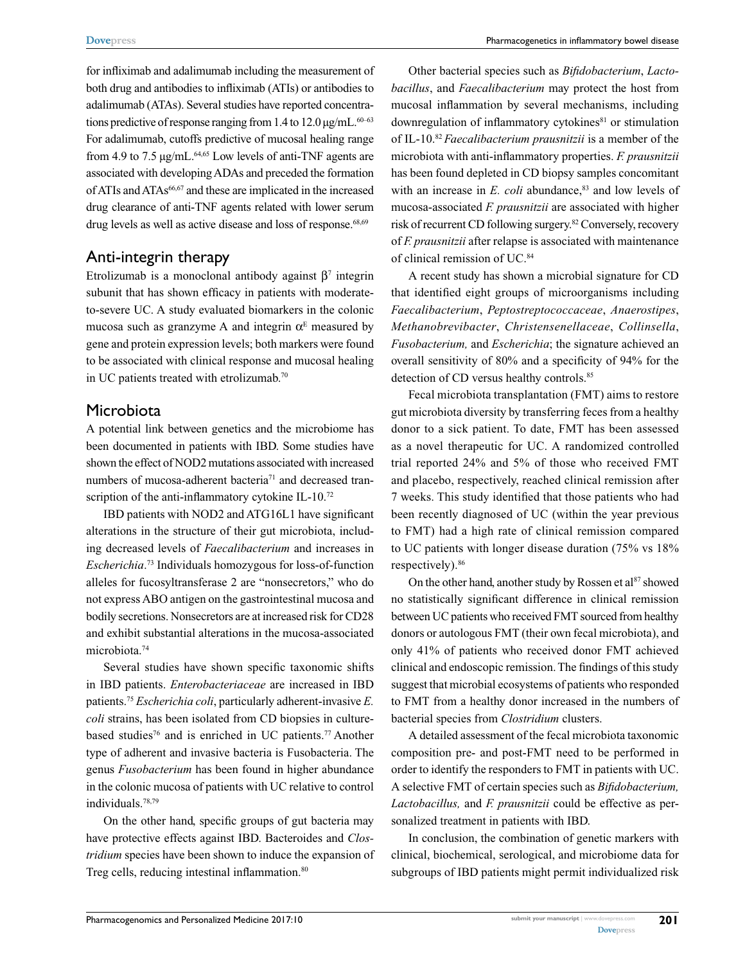for infliximab and adalimumab including the measurement of both drug and antibodies to infliximab (ATIs) or antibodies to adalimumab (ATAs). Several studies have reported concentrations predictive of response ranging from 1.4 to  $12.0 \mu g/mL$ .<sup>60–63</sup> For adalimumab, cutoffs predictive of mucosal healing range from 4.9 to 7.5  $\mu$ g/mL.<sup>64,65</sup> Low levels of anti-TNF agents are associated with developing ADAs and preceded the formation of ATIs and ATAs66,67 and these are implicated in the increased drug clearance of anti-TNF agents related with lower serum drug levels as well as active disease and loss of response. $68,69$ 

## Anti-integrin therapy

Etrolizumab is a monoclonal antibody against  $β<sup>7</sup>$  integrin subunit that has shown efficacy in patients with moderateto-severe UC. A study evaluated biomarkers in the colonic mucosa such as granzyme A and integrin  $\alpha^E$  measured by gene and protein expression levels; both markers were found to be associated with clinical response and mucosal healing in UC patients treated with etrolizumab.<sup>70</sup>

## Microbiota

A potential link between genetics and the microbiome has been documented in patients with IBD. Some studies have shown the effect of NOD2 mutations associated with increased numbers of mucosa-adherent bacteria<sup>71</sup> and decreased transcription of the anti-inflammatory cytokine IL-10.<sup>72</sup>

IBD patients with NOD2 and ATG16L1 have significant alterations in the structure of their gut microbiota, including decreased levels of *Faecalibacterium* and increases in *Escherichia*. 73 Individuals homozygous for loss-of-function alleles for fucosyltransferase 2 are "nonsecretors," who do not express ABO antigen on the gastrointestinal mucosa and bodily secretions. Nonsecretors are at increased risk for CD28 and exhibit substantial alterations in the mucosa-associated microbiota.74

Several studies have shown specific taxonomic shifts in IBD patients. *Enterobacteriaceae* are increased in IBD patients.75 *Escherichia coli*, particularly adherent-invasive *E. coli* strains, has been isolated from CD biopsies in culturebased studies<sup>76</sup> and is enriched in UC patients.<sup>77</sup> Another type of adherent and invasive bacteria is Fusobacteria. The genus *Fusobacterium* has been found in higher abundance in the colonic mucosa of patients with UC relative to control individuals.78,79

On the other hand, specific groups of gut bacteria may have protective effects against IBD. Bacteroides and *Clostridium* species have been shown to induce the expansion of Treg cells, reducing intestinal inflammation.<sup>80</sup>

Other bacterial species such as *Bifidobacterium*, *Lactobacillus*, and *Faecalibacterium* may protect the host from mucosal inflammation by several mechanisms, including downregulation of inflammatory cytokines<sup>81</sup> or stimulation of IL-10.82 *Faecalibacterium prausnitzii* is a member of the microbiota with anti-inflammatory properties. *F. prausnitzii* has been found depleted in CD biopsy samples concomitant with an increase in *E. coli* abundance,<sup>83</sup> and low levels of mucosa-associated *F. prausnitzii* are associated with higher risk of recurrent CD following surgery.82 Conversely, recovery of *F. prausnitzii* after relapse is associated with maintenance of clinical remission of UC.84

A recent study has shown a microbial signature for CD that identified eight groups of microorganisms including *Faecalibacterium*, *Peptostreptococcaceae*, *Anaerostipes*, *Methanobrevibacter*, *Christensenellaceae*, *Collinsella*, *Fusobacterium,* and *Escherichia*; the signature achieved an overall sensitivity of 80% and a specificity of 94% for the detection of CD versus healthy controls.<sup>85</sup>

Fecal microbiota transplantation (FMT) aims to restore gut microbiota diversity by transferring feces from a healthy donor to a sick patient. To date, FMT has been assessed as a novel therapeutic for UC. A randomized controlled trial reported 24% and 5% of those who received FMT and placebo, respectively, reached clinical remission after 7 weeks. This study identified that those patients who had been recently diagnosed of UC (within the year previous to FMT) had a high rate of clinical remission compared to UC patients with longer disease duration (75% vs 18% respectively).<sup>86</sup>

On the other hand, another study by Rossen et al<sup>87</sup> showed no statistically significant difference in clinical remission between UC patients who received FMT sourced from healthy donors or autologous FMT (their own fecal microbiota), and only 41% of patients who received donor FMT achieved clinical and endoscopic remission. The findings of this study suggest that microbial ecosystems of patients who responded to FMT from a healthy donor increased in the numbers of bacterial species from *Clostridium* clusters.

A detailed assessment of the fecal microbiota taxonomic composition pre- and post-FMT need to be performed in order to identify the responders to FMT in patients with UC. A selective FMT of certain species such as *Bifidobacterium, Lactobacillus,* and *F. prausnitzii* could be effective as personalized treatment in patients with IBD.

In conclusion, the combination of genetic markers with clinical, biochemical, serological, and microbiome data for subgroups of IBD patients might permit individualized risk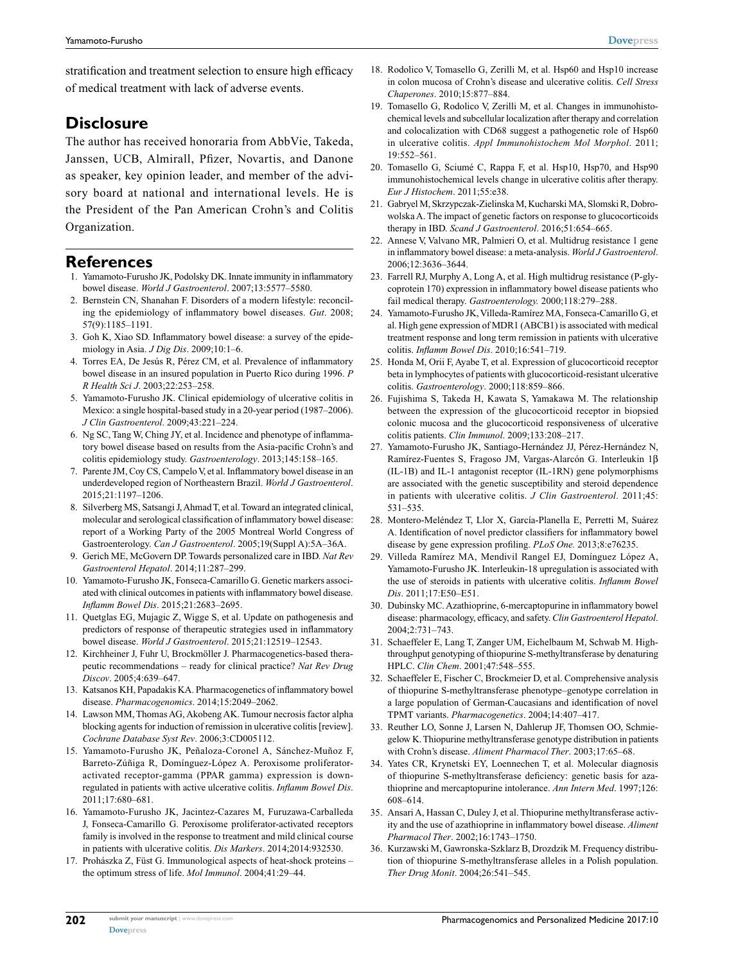stratification and treatment selection to ensure high efficacy of medical treatment with lack of adverse events.

## **Disclosure**

The author has received honoraria from AbbVie, Takeda, Janssen, UCB, Almirall, Pfizer, Novartis, and Danone as speaker, key opinion leader, and member of the advisory board at national and international levels. He is the President of the Pan American Crohn's and Colitis Organization.

#### **References**

- 1. Yamamoto-Furusho JK, Podolsky DK. Innate immunity in inflammatory bowel disease. *World J Gastroenterol*. 2007;13:5577–5580.
- 2. Bernstein CN, Shanahan F. Disorders of a modern lifestyle: reconciling the epidemiology of inflammatory bowel diseases. *Gut*. 2008; 57(9):1185–1191.
- 3. Goh K, Xiao SD. Inflammatory bowel disease: a survey of the epidemiology in Asia. *J Dig Dis*. 2009;10:1–6.
- 4. Torres EA, De Jesús R, Pérez CM, et al. Prevalence of inflammatory bowel disease in an insured population in Puerto Rico during 1996. *P R Health Sci J*. 2003;22:253–258.
- 5. Yamamoto-Furusho JK. Clinical epidemiology of ulcerative colitis in Mexico: a single hospital-based study in a 20-year period (1987–2006). *J Clin Gastroenterol*. 2009;43:221–224.
- 6. Ng SC, Tang W, Ching JY, et al. Incidence and phenotype of inflammatory bowel disease based on results from the Asia-pacific Crohn's and colitis epidemiology study. *Gastroenterology*. 2013;145:158–165.
- 7. Parente JM, Coy CS, Campelo V, et al. Inflammatory bowel disease in an underdeveloped region of Northeastern Brazil. *World J Gastroenterol*. 2015;21:1197–1206.
- 8. Silverberg MS, Satsangi J, Ahmad T, et al. Toward an integrated clinical, molecular and serological classification of inflammatory bowel disease: report of a Working Party of the 2005 Montreal World Congress of Gastroenterology. *Can J Gastroenterol*. 2005;19(Suppl A):5A–36A.
- 9. Gerich ME, McGovern DP. Towards personalized care in IBD. *Nat Rev Gastroenterol Hepatol*. 2014;11:287–299.
- 10. Yamamoto-Furusho JK, Fonseca-Camarillo G. Genetic markers associated with clinical outcomes in patients with inflammatory bowel disease. *Inflamm Bowel Dis*. 2015;21:2683–2695.
- 11. Quetglas EG, Mujagic Z, Wigge S, et al. Update on pathogenesis and predictors of response of therapeutic strategies used in inflammatory bowel disease. *World J Gastroenterol*. 2015;21:12519–12543.
- 12. Kirchheiner J, Fuhr U, Brockmöller J. Pharmacogenetics-based therapeutic recommendations – ready for clinical practice? *Nat Rev Drug Discov*. 2005;4:639–647.
- 13. Katsanos KH, Papadakis KA. Pharmacogenetics of inflammatory bowel disease. *Pharmacogenomics*. 2014;15:2049–2062.
- 14. Lawson MM, Thomas AG, Akobeng AK. Tumour necrosis factor alpha blocking agents for induction of remission in ulcerative colitis [review]. *Cochrane Database Syst Rev*. 2006;3:CD005112.
- 15. Yamamoto-Furusho JK, Peñaloza-Coronel A, Sánchez-Muñoz F, Barreto-Zúñiga R, Domínguez-López A. Peroxisome proliferatoractivated receptor-gamma (PPAR gamma) expression is downregulated in patients with active ulcerative colitis. *Inflamm Bowel Dis*. 2011;17:680–681.
- 16. Yamamoto-Furusho JK, Jacintez-Cazares M, Furuzawa-Carballeda J, Fonseca-Camarillo G. Peroxisome proliferator-activated receptors family is involved in the response to treatment and mild clinical course in patients with ulcerative colitis. *Dis Markers*. 2014;2014:932530.
- 17. Prohászka Z, Füst G. Immunological aspects of heat-shock proteins the optimum stress of life. *Mol Immunol*. 2004;41:29–44.
- 18. Rodolico V, Tomasello G, Zerilli M, et al. Hsp60 and Hsp10 increase in colon mucosa of Crohn's disease and ulcerative colitis. *Cell Stress Chaperones*. 2010;15:877–884.
- 19. Tomasello G, Rodolico V, Zerilli M, et al. Changes in immunohistochemical levels and subcellular localization after therapy and correlation and colocalization with CD68 suggest a pathogenetic role of Hsp60 in ulcerative colitis. *Appl Immunohistochem Mol Morphol*. 2011; 19:552–561.
- 20. Tomasello G, Sciumé C, Rappa F, et al. Hsp10, Hsp70, and Hsp90 immunohistochemical levels change in ulcerative colitis after therapy. *Eur J Histochem*. 2011;55:e38.
- 21. Gabryel M, Skrzypczak-Zielinska M, Kucharski MA, Slomski R, Dobrowolska A. The impact of genetic factors on response to glucocorticoids therapy in IBD. *Scand J Gastroenterol*. 2016;51:654–665.
- 22. Annese V, Valvano MR, Palmieri O, et al. Multidrug resistance 1 gene in inflammatory bowel disease: a meta-analysis. *World J Gastroenterol*. 2006;12:3636–3644.
- 23. Farrell RJ, Murphy A, Long A, et al. High multidrug resistance (P-glycoprotein 170) expression in inflammatory bowel disease patients who fail medical therapy. *Gastroenterology.* 2000;118:279–288.
- 24. Yamamoto-Furusho JK, Villeda-Ramírez MA, Fonseca-Camarillo G, et al. High gene expression of MDR1 (ABCB1) is associated with medical treatment response and long term remission in patients with ulcerative colitis. *Inflamm Bowel Dis*. 2010;16:541–719.
- 25. Honda M, Orii F, Ayabe T, et al. Expression of glucocorticoid receptor beta in lymphocytes of patients with glucocorticoid-resistant ulcerative colitis. *Gastroenterology*. 2000;118:859–866.
- 26. Fujishima S, Takeda H, Kawata S, Yamakawa M. The relationship between the expression of the glucocorticoid receptor in biopsied colonic mucosa and the glucocorticoid responsiveness of ulcerative colitis patients. *Clin Immunol*. 2009;133:208–217.
- 27. Yamamoto-Furusho JK, Santiago-Hernández JJ, Pérez-Hernández N, Ramírez-Fuentes S, Fragoso JM, Vargas-Alarcón G. Interleukin 1β (IL-1B) and IL-1 antagonist receptor (IL-1RN) gene polymorphisms are associated with the genetic susceptibility and steroid dependence in patients with ulcerative colitis. *J Clin Gastroenterol*. 2011;45: 531–535.
- 28. Montero-Meléndez T, Llor X, García-Planella E, Perretti M, Suárez A. Identification of novel predictor classifiers for inflammatory bowel disease by gene expression profiling. *PLoS One.* 2013;8:e76235.
- 29. Villeda Ramírez MA, Mendivil Rangel EJ, Domínguez López A, Yamamoto-Furusho JK. Interleukin-18 upregulation is associated with the use of steroids in patients with ulcerative colitis. *Inflamm Bowel Dis*. 2011;17:E50–E51.
- 30. Dubinsky MC. Azathioprine, 6-mercaptopurine in inflammatory bowel disease: pharmacology, efficacy, and safety. *Clin Gastroenterol Hepatol*. 2004;2:731–743.
- 31. Schaeffeler E, Lang T, Zanger UM, Eichelbaum M, Schwab M. Highthroughput genotyping of thiopurine S-methyltransferase by denaturing HPLC. *Clin Chem*. 2001;47:548–555.
- 32. Schaeffeler E, Fischer C, Brockmeier D, et al. Comprehensive analysis of thiopurine S-methyltransferase phenotype–genotype correlation in a large population of German-Caucasians and identification of novel TPMT variants. *Pharmacogenetics*. 2004;14:407–417.
- 33. Reuther LO, Sonne J, Larsen N, Dahlerup JF, Thomsen OO, Schmiegelow K. Thiopurine methyltransferase genotype distribution in patients with Crohn's disease. *Aliment Pharmacol Ther*. 2003;17:65–68.
- 34. Yates CR, Krynetski EY, Loennechen T, et al. Molecular diagnosis of thiopurine S-methyltransferase deficiency: genetic basis for azathioprine and mercaptopurine intolerance. *Ann Intern Med*. 1997;126: 608–614.
- 35. Ansari A, Hassan C, Duley J, et al. Thiopurine methyltransferase activity and the use of azathioprine in inflammatory bowel disease. *Aliment Pharmacol Ther*. 2002;16:1743–1750.
- 36. Kurzawski M, Gawronska-Szklarz B, Drozdzik M. Frequency distribution of thiopurine S-methyltransferase alleles in a Polish population. *Ther Drug Monit*. 2004;26:541–545.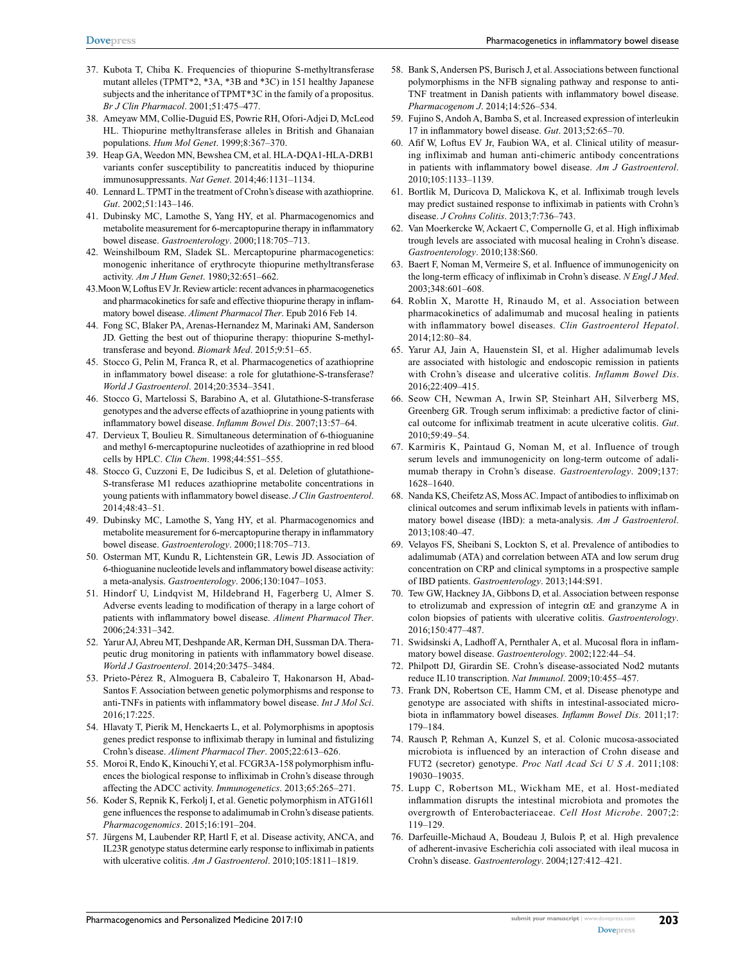- 37. Kubota T, Chiba K. Frequencies of thiopurine S-methyltransferase mutant alleles (TPMT\*2, \*3A, \*3B and \*3C) in 151 healthy Japanese subjects and the inheritance of TPMT\*3C in the family of a propositus. *Br J Clin Pharmacol*. 2001;51:475–477.
- 38. Ameyaw MM, Collie-Duguid ES, Powrie RH, Ofori-Adjei D, McLeod HL. Thiopurine methyltransferase alleles in British and Ghanaian populations. *Hum Mol Genet*. 1999;8:367–370.
- 39. Heap GA, Weedon MN, Bewshea CM, et al. HLA-DQA1-HLA-DRB1 variants confer susceptibility to pancreatitis induced by thiopurine immunosuppressants. *Nat Genet*. 2014;46:1131–1134.
- 40. Lennard L. TPMT in the treatment of Crohn's disease with azathioprine. *Gut*. 2002;51:143–146.
- 41. Dubinsky MC, Lamothe S, Yang HY, et al. Pharmacogenomics and metabolite measurement for 6-mercaptopurine therapy in inflammatory bowel disease. *Gastroenterology*. 2000;118:705–713.
- 42. Weinshilboum RM, Sladek SL. Mercaptopurine pharmacogenetics: monogenic inheritance of erythrocyte thiopurine methyltransferase activity. *Am J Hum Genet*. 1980;32:651–662.
- 43.Moon W, Loftus EV Jr. Review article: recent advances in pharmacogenetics and pharmacokinetics for safe and effective thiopurine therapy in inflammatory bowel disease. *Aliment Pharmacol Ther*. Epub 2016 Feb 14.
- 44. Fong SC, Blaker PA, Arenas-Hernandez M, Marinaki AM, Sanderson JD. Getting the best out of thiopurine therapy: thiopurine S-methyltransferase and beyond. *Biomark Med*. 2015;9:51–65.
- 45. Stocco G, Pelin M, Franca R, et al. Pharmacogenetics of azathioprine in inflammatory bowel disease: a role for glutathione-S-transferase? *World J Gastroenterol*. 2014;20:3534–3541.
- 46. Stocco G, Martelossi S, Barabino A, et al. Glutathione-S-transferase genotypes and the adverse effects of azathioprine in young patients with inflammatory bowel disease. *Inflamm Bowel Dis*. 2007;13:57–64.
- 47. Dervieux T, Boulieu R. Simultaneous determination of 6-thioguanine and methyl 6-mercaptopurine nucleotides of azathioprine in red blood cells by HPLC. *Clin Chem*. 1998;44:551–555.
- 48. Stocco G, Cuzzoni E, De Iudicibus S, et al. Deletion of glutathione-S-transferase M1 reduces azathioprine metabolite concentrations in young patients with inflammatory bowel disease. *J Clin Gastroenterol*. 2014;48:43–51.
- 49. Dubinsky MC, Lamothe S, Yang HY, et al. Pharmacogenomics and metabolite measurement for 6-mercaptopurine therapy in inflammatory bowel disease. *Gastroenterology*. 2000;118:705–713.
- 50. Osterman MT, Kundu R, Lichtenstein GR, Lewis JD. Association of 6-thioguanine nucleotide levels and inflammatory bowel disease activity: a meta-analysis. *Gastroenterology*. 2006;130:1047–1053.
- 51. Hindorf U, Lindqvist M, Hildebrand H, Fagerberg U, Almer S. Adverse events leading to modification of therapy in a large cohort of patients with inflammatory bowel disease. *Aliment Pharmacol Ther*. 2006;24:331–342.
- 52. Yarur AJ, Abreu MT, Deshpande AR, Kerman DH, Sussman DA. Therapeutic drug monitoring in patients with inflammatory bowel disease. *World J Gastroenterol*. 2014;20:3475–3484.
- 53. Prieto-Pérez R, Almoguera B, Cabaleiro T, Hakonarson H, Abad-Santos F. Association between genetic polymorphisms and response to anti-TNFs in patients with inflammatory bowel disease. *Int J Mol Sci*. 2016;17:225.
- 54. Hlavaty T, Pierik M, Henckaerts L, et al. Polymorphisms in apoptosis genes predict response to infliximab therapy in luminal and fistulizing Crohn's disease. *Aliment Pharmacol Ther*. 2005;22:613–626.
- 55. Moroi R, Endo K, Kinouchi Y, et al. FCGR3A-158 polymorphism influences the biological response to infliximab in Crohn's disease through affecting the ADCC activity. *Immunogenetics*. 2013;65:265–271.
- 56. Koder S, Repnik K, Ferkolj I, et al. Genetic polymorphism in ATG16l1 gene influences the response to adalimumab in Crohn's disease patients. *Pharmacogenomics*. 2015;16:191–204.
- 57. Jürgens M, Laubender RP, Hartl F, et al. Disease activity, ANCA, and IL23R genotype status determine early response to infliximab in patients with ulcerative colitis. *Am J Gastroenterol*. 2010;105:1811–1819.
- 58. Bank S, Andersen PS, Burisch J, et al. Associations between functional polymorphisms in the NFB signaling pathway and response to anti-TNF treatment in Danish patients with inflammatory bowel disease. *Pharmacogenom J*. 2014;14:526–534.
- 59. Fujino S, Andoh A, Bamba S, et al. Increased expression of interleukin 17 in inflammatory bowel disease. *Gut*. 2013;52:65–70.
- 60. Afif W, Loftus EV Jr, Faubion WA, et al. Clinical utility of measuring infliximab and human anti-chimeric antibody concentrations in patients with inflammatory bowel disease. *Am J Gastroenterol*. 2010;105:1133–1139.
- 61. Bortlik M, Duricova D, Malickova K, et al. Infliximab trough levels may predict sustained response to infliximab in patients with Crohn's disease. *J Crohns Colitis*. 2013;7:736–743.
- 62. Van Moerkercke W, Ackaert C, Compernolle G, et al. High infliximab trough levels are associated with mucosal healing in Crohn's disease. *Gastroenterology*. 2010;138:S60.
- 63. Baert F, Noman M, Vermeire S, et al. Influence of immunogenicity on the long-term efficacy of infliximab in Crohn's disease. *N Engl J Med*. 2003;348:601–608.
- 64. Roblin X, Marotte H, Rinaudo M, et al. Association between pharmacokinetics of adalimumab and mucosal healing in patients with inflammatory bowel diseases. *Clin Gastroenterol Hepatol*. 2014;12:80–84.
- 65. Yarur AJ, Jain A, Hauenstein SI, et al. Higher adalimumab levels are associated with histologic and endoscopic remission in patients with Crohn's disease and ulcerative colitis. *Inflamm Bowel Dis*. 2016;22:409–415.
- 66. Seow CH, Newman A, Irwin SP, Steinhart AH, Silverberg MS, Greenberg GR. Trough serum infliximab: a predictive factor of clinical outcome for infliximab treatment in acute ulcerative colitis. *Gut*. 2010;59:49–54.
- 67. Karmiris K, Paintaud G, Noman M, et al. Influence of trough serum levels and immunogenicity on long-term outcome of adalimumab therapy in Crohn's disease. *Gastroenterology*. 2009;137: 1628–1640.
- 68. Nanda KS, Cheifetz AS, Moss AC. Impact of antibodies to infliximab on clinical outcomes and serum infliximab levels in patients with inflammatory bowel disease (IBD): a meta-analysis. *Am J Gastroenterol*. 2013;108:40–47.
- 69. Velayos FS, Sheibani S, Lockton S, et al. Prevalence of antibodies to adalimumab (ATA) and correlation between ATA and low serum drug concentration on CRP and clinical symptoms in a prospective sample of IBD patients. *Gastroenterology*. 2013;144:S91.
- 70. Tew GW, Hackney JA, Gibbons D, et al. Association between response to etrolizumab and expression of integrin  $\alpha$ E and granzyme A in colon biopsies of patients with ulcerative colitis. *Gastroenterology*. 2016;150:477–487.
- 71. Swidsinski A, Ladhoff A, Pernthaler A, et al. Mucosal flora in inflammatory bowel disease. *Gastroenterology*. 2002;122:44–54.
- 72. Philpott DJ, Girardin SE. Crohn's disease-associated Nod2 mutants reduce IL10 transcription. *Nat Immunol*. 2009;10:455–457.
- 73. Frank DN, Robertson CE, Hamm CM, et al. Disease phenotype and genotype are associated with shifts in intestinal-associated microbiota in inflammatory bowel diseases. *Inflamm Bowel Dis*. 2011;17: 179–184.
- 74. Rausch P, Rehman A, Kunzel S, et al. Colonic mucosa-associated microbiota is influenced by an interaction of Crohn disease and FUT2 (secretor) genotype. *Proc Natl Acad Sci U S A*. 2011;108: 19030–19035.
- 75. Lupp C, Robertson ML, Wickham ME, et al. Host-mediated inflammation disrupts the intestinal microbiota and promotes the overgrowth of Enterobacteriaceae. *Cell Host Microbe*. 2007;2: 119–129.
- 76. Darfeuille-Michaud A, Boudeau J, Bulois P, et al. High prevalence of adherent-invasive Escherichia coli associated with ileal mucosa in Crohn's disease. *Gastroenterology*. 2004;127:412–421.